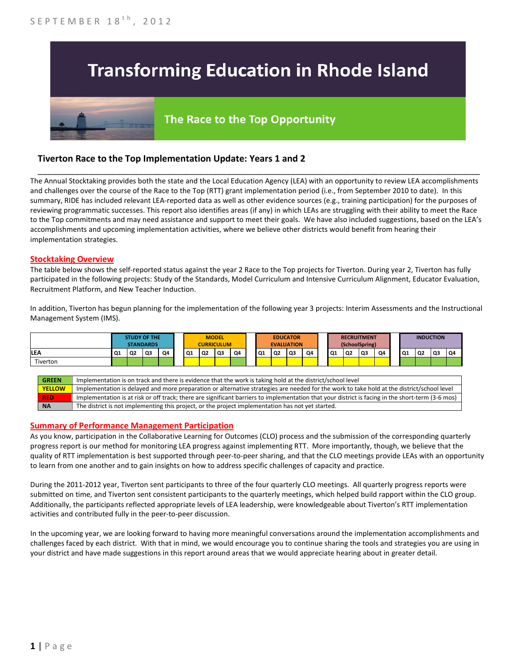# **Transforming Education in Rhode Island**

## The Race to the Top Opportunity

### **Tiverton Race to the Top Implementation Update: Years 1 and 2**

The Annual Stocktaking provides both the state and the Local Education Agency (LEA) with an opportunity to review LEA accomplishments and challenges over the course of the Race to the Top (RTT) grant implementation period (i.e., from September 2010 to date). In this summary, RIDE has included relevant LEA-reported data as well as other evidence sources (e.g., training participation) for the purposes of reviewing programmatic successes. This report also identifies areas (if any) in which LEAs are struggling with their ability to meet the Race to the Top commitments and may need assistance and support to meet their goals. We have also included suggestions, based on the LEA's accomplishments and upcoming implementation activities, where we believe other districts would benefit from hearing their implementation strategies.

\_\_\_\_\_\_\_\_\_\_\_\_\_\_\_\_\_\_\_\_\_\_\_\_\_\_\_\_\_\_\_\_\_\_\_\_\_\_\_\_\_\_\_\_\_\_\_\_\_\_\_\_\_\_\_\_\_\_\_\_\_\_\_\_\_\_\_\_\_\_\_\_\_\_\_\_\_\_\_\_\_\_\_\_\_\_\_\_\_\_\_\_\_\_\_\_

#### **Stocktaking Overview**

The table below shows the self-reported status against the year 2 Race to the Top projects for Tiverton. During year 2, Tiverton has fully participated in the following projects: Study of the Standards, Model Curriculum and Intensive Curriculum Alignment, Educator Evaluation, Recruitment Platform, and New Teacher Induction.

In addition, Tiverton has begun planning for the implementation of the following year 3 projects: Interim Assessments and the Instructional Management System (IMS).



#### **Summary of Performance Management Participation**

As you know, participation in the Collaborative Learning for Outcomes (CLO) process and the submission of the corresponding quarterly progress report is our method for monitoring LEA progress against implementing RTT. More importantly, though, we believe that the quality of RTT implementation is best supported through peer-to-peer sharing, and that the CLO meetings provide LEAs with an opportunity to learn from one another and to gain insights on how to address specific challenges of capacity and practice.

During the 2011-2012 year, Tiverton sent participants to three of the four quarterly CLO meetings. All quarterly progress reports were submitted on time, and Tiverton sent consistent participants to the quarterly meetings, which helped build rapport within the CLO group. Additionally, the participants reflected appropriate levels of LEA leadership, were knowledgeable about Tiverton's RTT implementation activities and contributed fully in the peer-to-peer discussion.

In the upcoming year, we are looking forward to having more meaningful conversations around the implementation accomplishments and challenges faced by each district. With that in mind, we would encourage you to continue sharing the tools and strategies you are using in your district and have made suggestions in this report around areas that we would appreciate hearing about in greater detail.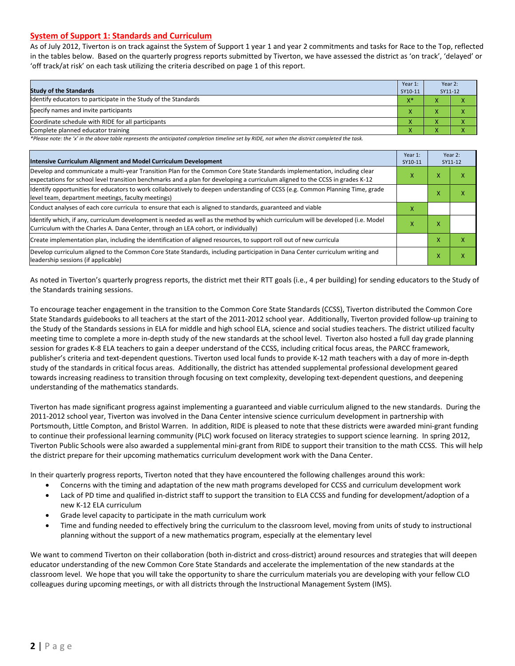#### **System of Support 1: Standards and Curriculum**

As of July 2012, Tiverton is on track against the System of Support 1 year 1 and year 2 commitments and tasks for Race to the Top, reflected in the tables below. Based on the quarterly progress reports submitted by Tiverton, we have assessed the district as 'on track', 'delayed' or 'off track/at risk' on each task utilizing the criteria described on page 1 of this report.

| <b>Study of the Standards</b>                                   | Year 1:<br>SY10-11    | Year 2:<br>SY11-12 |  |
|-----------------------------------------------------------------|-----------------------|--------------------|--|
| Identify educators to participate in the Study of the Standards | $V^*$<br>$\mathbf{v}$ |                    |  |
| Specify names and invite participants                           | $\overline{ }$        |                    |  |
| Coordinate schedule with RIDE for all participants              | $\Lambda$             | $\mathbf{\Lambda}$ |  |
| Complete planned educator training                              | Λ                     | $\mathbf{\Lambda}$ |  |

*\*Please note: the 'x' in the above table represents the anticipated completion timeline set by RIDE, not when the district completed the task.*

| Intensive Curriculum Alignment and Model Curriculum Development                                                                                                                                                                                           |  |   | Year 2:<br>SY11-12 |  |
|-----------------------------------------------------------------------------------------------------------------------------------------------------------------------------------------------------------------------------------------------------------|--|---|--------------------|--|
| Develop and communicate a multi-year Transition Plan for the Common Core State Standards implementation, including clear<br>expectations for school level transition benchmarks and a plan for developing a curriculum aligned to the CCSS in grades K-12 |  |   | ⋏                  |  |
| Identify opportunities for educators to work collaboratively to deepen understanding of CCSS (e.g. Common Planning Time, grade<br>level team, department meetings, faculty meetings)                                                                      |  | x | x                  |  |
| Conduct analyses of each core curricula to ensure that each is aligned to standards, guaranteed and viable                                                                                                                                                |  |   |                    |  |
| ldentify which, if any, curriculum development is needed as well as the method by which curriculum will be developed (i.e. Model<br>Curriculum with the Charles A. Dana Center, through an LEA cohort, or individually)                                   |  | x |                    |  |
| Create implementation plan, including the identification of aligned resources, to support roll out of new curricula                                                                                                                                       |  | x | x                  |  |
| Develop curriculum aligned to the Common Core State Standards, including participation in Dana Center curriculum writing and<br>leadership sessions (if applicable)                                                                                       |  | X | Χ                  |  |

As noted in Tiverton's quarterly progress reports, the district met their RTT goals (i.e., 4 per building) for sending educators to the Study of the Standards training sessions.

To encourage teacher engagement in the transition to the Common Core State Standards (CCSS), Tiverton distributed the Common Core State Standards guidebooks to all teachers at the start of the 2011-2012 school year. Additionally, Tiverton provided follow-up training to the Study of the Standards sessions in ELA for middle and high school ELA, science and social studies teachers. The district utilized faculty meeting time to complete a more in-depth study of the new standards at the school level. Tiverton also hosted a full day grade planning session for grades K-8 ELA teachers to gain a deeper understand of the CCSS, including critical focus areas, the PARCC framework, publisher's criteria and text-dependent questions. Tiverton used local funds to provide K-12 math teachers with a day of more in-depth study of the standards in critical focus areas. Additionally, the district has attended supplemental professional development geared towards increasing readiness to transition through focusing on text complexity, developing text-dependent questions, and deepening understanding of the mathematics standards.

Tiverton has made significant progress against implementing a guaranteed and viable curriculum aligned to the new standards. During the 2011-2012 school year, Tiverton was involved in the Dana Center intensive science curriculum development in partnership with Portsmouth, Little Compton, and Bristol Warren. In addition, RIDE is pleased to note that these districts were awarded mini-grant funding to continue their professional learning community (PLC) work focused on literacy strategies to support science learning. In spring 2012, Tiverton Public Schools were also awarded a supplemental mini-grant from RIDE to support their transition to the math CCSS. This will help the district prepare for their upcoming mathematics curriculum development work with the Dana Center.

In their quarterly progress reports, Tiverton noted that they have encountered the following challenges around this work:

- Concerns with the timing and adaptation of the new math programs developed for CCSS and curriculum development work
- Lack of PD time and qualified in-district staff to support the transition to ELA CCSS and funding for development/adoption of a new K-12 ELA curriculum
- Grade level capacity to participate in the math curriculum work
- Time and funding needed to effectively bring the curriculum to the classroom level, moving from units of study to instructional planning without the support of a new mathematics program, especially at the elementary level

We want to commend Tiverton on their collaboration (both in-district and cross-district) around resources and strategies that will deepen educator understanding of the new Common Core State Standards and accelerate the implementation of the new standards at the classroom level. We hope that you will take the opportunity to share the curriculum materials you are developing with your fellow CLO colleagues during upcoming meetings, or with all districts through the Instructional Management System (IMS).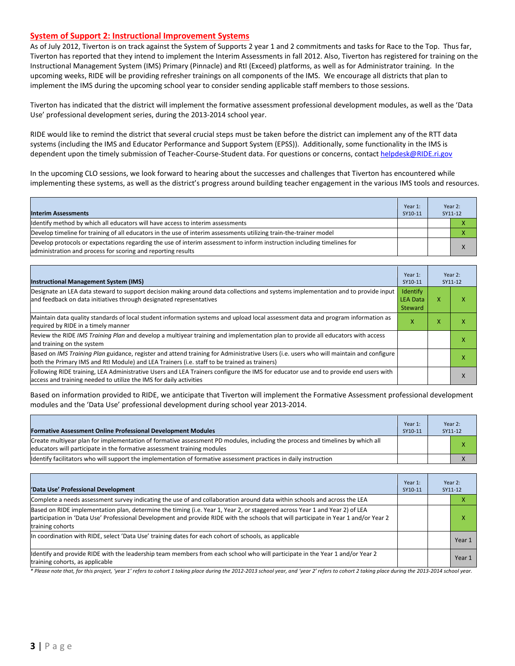#### **System of Support 2: Instructional Improvement Systems**

As of July 2012, Tiverton is on track against the System of Supports 2 year 1 and 2 commitments and tasks for Race to the Top. Thus far, Tiverton has reported that they intend to implement the Interim Assessments in fall 2012. Also, Tiverton has registered for training on the Instructional Management System (IMS) Primary (Pinnacle) and RtI (Exceed) platforms, as well as for Administrator training. In the upcoming weeks, RIDE will be providing refresher trainings on all components of the IMS. We encourage all districts that plan to implement the IMS during the upcoming school year to consider sending applicable staff members to those sessions.

Tiverton has indicated that the district will implement the formative assessment professional development modules, as well as the 'Data Use' professional development series, during the 2013-2014 school year.

RIDE would like to remind the district that several crucial steps must be taken before the district can implement any of the RTT data systems (including the IMS and Educator Performance and Support System (EPSS)). Additionally, some functionality in the IMS is dependent upon the timely submission of Teacher-Course-Student data. For questions or concerns, contac[t helpdesk@RIDE.ri.gov](mailto:helpdesk@RIDE.ri.gov)

In the upcoming CLO sessions, we look forward to hearing about the successes and challenges that Tiverton has encountered while implementing these systems, as well as the district's progress around building teacher engagement in the various IMS tools and resources.

| <b>Interim Assessments</b>                                                                                                                                                              | Year 1:<br>SY10-11 | Year 2:<br>SY11-12 |
|-----------------------------------------------------------------------------------------------------------------------------------------------------------------------------------------|--------------------|--------------------|
| Identify method by which all educators will have access to interim assessments                                                                                                          |                    |                    |
| Develop timeline for training of all educators in the use of interim assessments utilizing train-the-trainer model                                                                      |                    |                    |
| Develop protocols or expectations regarding the use of interim assessment to inform instruction including timelines for<br>administration and process for scoring and reporting results |                    | $\mathbf{v}$       |

| <b>Instructional Management System (IMS)</b>                                                                                                                                                                                           | Year 1:<br>SY10-11                     |   | Year 2:<br>SY11-12 |
|----------------------------------------------------------------------------------------------------------------------------------------------------------------------------------------------------------------------------------------|----------------------------------------|---|--------------------|
| Designate an LEA data steward to support decision making around data collections and systems implementation and to provide input<br>and feedback on data initiatives through designated representatives                                | Identify<br><b>LEA Data</b><br>Steward | x | ^                  |
| Maintain data quality standards of local student information systems and upload local assessment data and program information as<br>required by RIDE in a timely manner                                                                |                                        | x |                    |
| Review the RIDE IMS Training Plan and develop a multiyear training and implementation plan to provide all educators with access<br>and training on the system                                                                          |                                        |   | ^                  |
| Based on IMS Training Plan guidance, register and attend training for Administrative Users (i.e. users who will maintain and configure<br>both the Primary IMS and RtI Module) and LEA Trainers (i.e. staff to be trained as trainers) |                                        |   |                    |
| Following RIDE training, LEA Administrative Users and LEA Trainers configure the IMS for educator use and to provide end users with<br>access and training needed to utilize the IMS for daily activities                              |                                        |   | $\lambda$          |

Based on information provided to RIDE, we anticipate that Tiverton will implement the Formative Assessment professional development modules and the 'Data Use' professional development during school year 2013-2014.

| <b>Formative Assessment Online Professional Development Modules</b>                                                                                                                                      | Year 1:<br>SY10-11 | Year 2:<br>SY11-12 |
|----------------------------------------------------------------------------------------------------------------------------------------------------------------------------------------------------------|--------------------|--------------------|
| Create multiyear plan for implementation of formative assessment PD modules, including the process and timelines by which all<br>educators will participate in the formative assessment training modules |                    |                    |
| Identify facilitators who will support the implementation of formative assessment practices in daily instruction                                                                                         |                    |                    |

| 'Data Use' Professional Development                                                                                                                                                                                                                                                     | Year 1:<br>SY10-11 | Year 2:<br>SY11-12 |
|-----------------------------------------------------------------------------------------------------------------------------------------------------------------------------------------------------------------------------------------------------------------------------------------|--------------------|--------------------|
| Complete a needs assessment survey indicating the use of and collaboration around data within schools and across the LEA                                                                                                                                                                |                    |                    |
| Based on RIDE implementation plan, determine the timing (i.e. Year 1, Year 2, or staggered across Year 1 and Year 2) of LEA<br>participation in 'Data Use' Professional Development and provide RIDE with the schools that will participate in Year 1 and/or Year 2<br>training cohorts |                    | χ                  |
| In coordination with RIDE, select 'Data Use' training dates for each cohort of schools, as applicable                                                                                                                                                                                   |                    | Year 1             |
| Identify and provide RIDE with the leadership team members from each school who will participate in the Year 1 and/or Year 2<br>training cohorts, as applicable                                                                                                                         |                    | Year 1             |

*\* Please note that, for this project, 'year 1' refers to cohort 1 taking place during the 2012-2013 school year, and 'year 2' refers to cohort 2 taking place during the 2013-2014 school year.*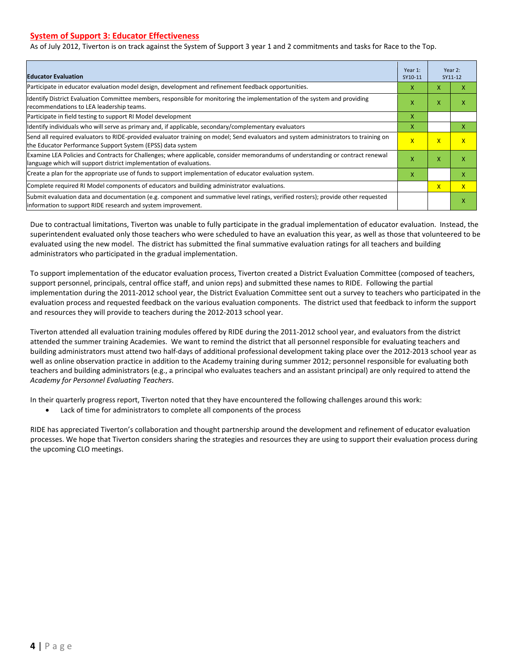#### **System of Support 3: Educator Effectiveness**

As of July 2012, Tiverton is on track against the System of Support 3 year 1 and 2 commitments and tasks for Race to the Top.

| <b>Educator Evaluation</b>                                                                                                                                                                            |                         |              | Year 2:<br>SY11-12 |
|-------------------------------------------------------------------------------------------------------------------------------------------------------------------------------------------------------|-------------------------|--------------|--------------------|
| Participate in educator evaluation model design, development and refinement feedback opportunities.                                                                                                   | x                       | X            | x                  |
| Identify District Evaluation Committee members, responsible for monitoring the implementation of the system and providing<br>recommendations to LEA leadership teams.                                 | X                       | X            | x                  |
| Participate in field testing to support RI Model development                                                                                                                                          |                         |              |                    |
| Identify individuals who will serve as primary and, if applicable, secondary/complementary evaluators                                                                                                 | x                       |              | X                  |
| Send all required evaluators to RIDE-provided evaluator training on model; Send evaluators and system administrators to training on<br>the Educator Performance Support System (EPSS) data system     | $\overline{\mathsf{x}}$ | $\mathsf{x}$ | $\mathbf{x}$       |
| Examine LEA Policies and Contracts for Challenges; where applicable, consider memorandums of understanding or contract renewal<br>language which will support district implementation of evaluations. | X                       | X            | X                  |
| Create a plan for the appropriate use of funds to support implementation of educator evaluation system.                                                                                               |                         |              | X                  |
| Complete required RI Model components of educators and building administrator evaluations.                                                                                                            |                         | $\mathsf{x}$ | $\mathsf{x}$       |
| Submit evaluation data and documentation (e.g. component and summative level ratings, verified rosters); provide other requested<br>linformation to support RIDE research and system improvement.     |                         |              | x                  |

Due to contractual limitations, Tiverton was unable to fully participate in the gradual implementation of educator evaluation. Instead, the superintendent evaluated only those teachers who were scheduled to have an evaluation this year, as well as those that volunteered to be evaluated using the new model. The district has submitted the final summative evaluation ratings for all teachers and building administrators who participated in the gradual implementation.

To support implementation of the educator evaluation process, Tiverton created a District Evaluation Committee (composed of teachers, support personnel, principals, central office staff, and union reps) and submitted these names to RIDE. Following the partial implementation during the 2011-2012 school year, the District Evaluation Committee sent out a survey to teachers who participated in the evaluation process and requested feedback on the various evaluation components. The district used that feedback to inform the support and resources they will provide to teachers during the 2012-2013 school year.

Tiverton attended all evaluation training modules offered by RIDE during the 2011-2012 school year, and evaluators from the district attended the summer training Academies. We want to remind the district that all personnel responsible for evaluating teachers and building administrators must attend two half-days of additional professional development taking place over the 2012-2013 school year as well as online observation practice in addition to the Academy training during summer 2012; personnel responsible for evaluating both teachers and building administrators (e.g., a principal who evaluates teachers and an assistant principal) are only required to attend the *Academy for Personnel Evaluating Teachers*.

In their quarterly progress report, Tiverton noted that they have encountered the following challenges around this work:

• Lack of time for administrators to complete all components of the process

RIDE has appreciated Tiverton's collaboration and thought partnership around the development and refinement of educator evaluation processes. We hope that Tiverton considers sharing the strategies and resources they are using to support their evaluation process during the upcoming CLO meetings.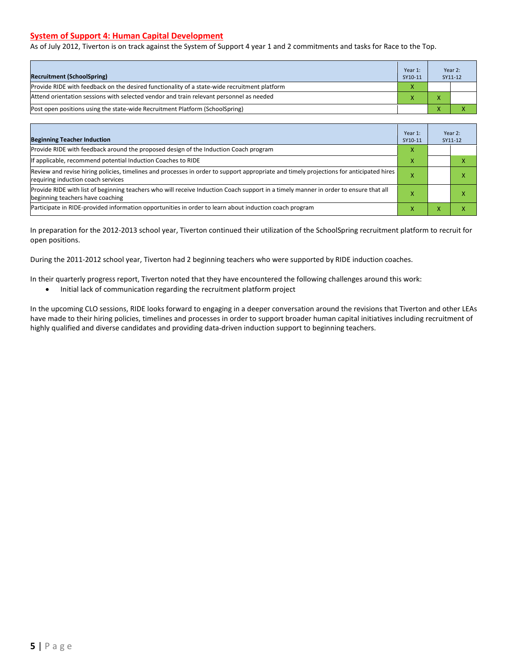#### **System of Support 4: Human Capital Development**

As of July 2012, Tiverton is on track against the System of Support 4 year 1 and 2 commitments and tasks for Race to the Top.

| <b>Recruitment (SchoolSpring)</b>                                                            | Year 1:<br>SY10-11 |              | Year 2:<br>SY11-12 |
|----------------------------------------------------------------------------------------------|--------------------|--------------|--------------------|
| Provide RIDE with feedback on the desired functionality of a state-wide recruitment platform |                    |              |                    |
| Attend orientation sessions with selected vendor and train relevant personnel as needed      |                    | $\mathbf{v}$ |                    |
| [Post open positions using the state-wide Recruitment Platform (SchoolSpring)                |                    |              |                    |

| <b>Beginning Teacher Induction</b>                                                                                                                                            | Year 1:<br>SY10-11 |   | Year 2:<br>SY11-12 |
|-------------------------------------------------------------------------------------------------------------------------------------------------------------------------------|--------------------|---|--------------------|
| Provide RIDE with feedback around the proposed design of the Induction Coach program                                                                                          |                    |   |                    |
| If applicable, recommend potential Induction Coaches to RIDE                                                                                                                  |                    |   |                    |
| Review and revise hiring policies, timelines and processes in order to support appropriate and timely projections for anticipated hires<br>requiring induction coach services |                    |   | ⋏                  |
| Provide RIDE with list of beginning teachers who will receive Induction Coach support in a timely manner in order to ensure that all<br>beginning teachers have coaching      |                    |   |                    |
| Participate in RIDE-provided information opportunities in order to learn about induction coach program                                                                        |                    | ⋏ |                    |

In preparation for the 2012-2013 school year, Tiverton continued their utilization of the SchoolSpring recruitment platform to recruit for open positions.

During the 2011-2012 school year, Tiverton had 2 beginning teachers who were supported by RIDE induction coaches.

In their quarterly progress report, Tiverton noted that they have encountered the following challenges around this work:

• Initial lack of communication regarding the recruitment platform project

In the upcoming CLO sessions, RIDE looks forward to engaging in a deeper conversation around the revisions that Tiverton and other LEAs have made to their hiring policies, timelines and processes in order to support broader human capital initiatives including recruitment of highly qualified and diverse candidates and providing data-driven induction support to beginning teachers.